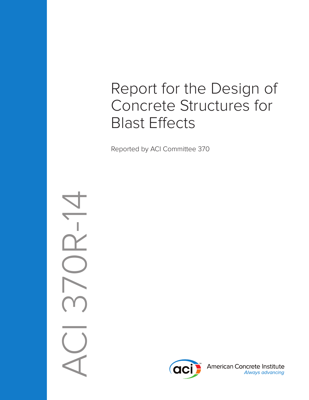# Report for the Design of Concrete Structures for Blast Effects

Reported by ACI Committee 370

ACI 370R-14 $\overline{R}$ -



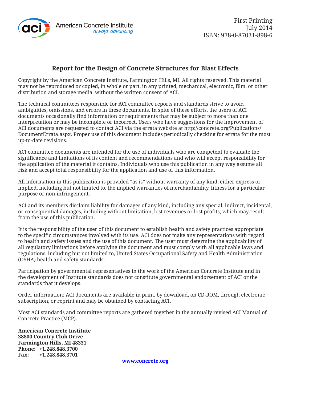

### **Report for the Design of Concrete Structures for Blast Effects**

Copyright by the American Concrete Institute, Farmington Hills, MI. All rights reserved. This material may not be reproduced or copied, in whole or part, in any printed, mechanical, electronic, film, or other distribution and storage media, without the written consent of ACI.

The technical committees responsible for ACI committee reports and standards strive to avoid ambiguities, omissions, and errors in these documents. In spite of these efforts, the users of ACI documents occasionally find information or requirements that may be subject to more than one interpretation or may be incomplete or incorrect. Users who have suggestions for the improvement of ACI documents are requested to contact ACI via the errata website at http://concrete.org/Publications/ DocumentErrata.aspx. Proper use of this document includes periodically checking for errata for the most up-to-date revisions.

ACI committee documents are intended for the use of individuals who are competent to evaluate the significance and limitations of its content and recommendations and who will accept responsibility for the application of the material it contains. Individuals who use this publication in any way assume all risk and accept total responsibility for the application and use of this information.

All information in this publication is provided "as is" without warranty of any kind, either express or implied, including but not limited to, the implied warranties of merchantability, fitness for a particular purpose or non-infringement.

ACI and its members disclaim liability for damages of any kind, including any special, indirect, incidental, or consequential damages, including without limitation, lost revenues or lost profits, which may result from the use of this publication.

It is the responsibility of the user of this document to establish health and safety practices appropriate to the specific circumstances involved with its use. ACI does not make any representations with regard to health and safety issues and the use of this document. The user must determine the applicability of all regulatory limitations before applying the document and must comply with all applicable laws and regulations, including but not limited to, United States Occupational Safety and Health Administration (OSHA) health and safety standards.

Participation by governmental representatives in the work of the American Concrete Institute and in the development of Institute standards does not constitute governmental endorsement of ACI or the standards that it develops.

Order information: ACI documents are available in print, by download, on CD-ROM, through electronic subscription, or reprint and may be obtained by contacting ACI.

Most ACI standards and committee reports are gathered together in the annually revised ACI Manual of Concrete Practice (MCP).

**American Concrete Institute 38800 Country Club Drive Farmington Hills, MI 48331 Phone: +1.248.848.3700 Fax: +1.248.848.3701**

**www.concrete.org**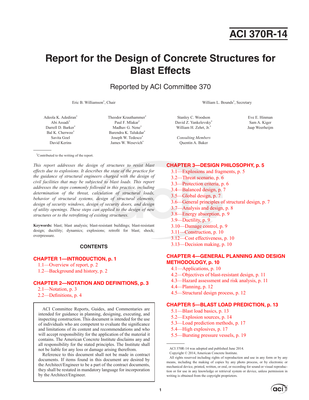## **ACI 370R-14**

### **Report for the Design of Concrete Structures for Blast Effects**

Reported by ACI Committee 370

Eric B. Williamson\*

Adeola K. Adediran\* Abi Assadi\* Darrell D. Barker\* Bal K. Cherwoo\* Savita Goel David Kerins

Theodor Krauthammer<sup>\*</sup> Paul F. Mlakar\* Madhav G. Nene\* Barendra K. Talukdar\* Joseph W. Tedesco\* James W. Wesevich\*

\* Contributed to the writing of the report.

*This report addresses the design of structures to resist blast effects due to explosions. It describes the state of the practice for the guidance of structural engineers charged with the design of civil facilities that may be subjected to blast loads. This report addresses the steps commonly followed in this practice, including determination of the threat, calculation of structural loads, behavior of structural systems, design of structural elements, design of security windows, design of security doors, and design of utility openings. These steps can applied to the design of new structures or to the retrofitting of existing structures.*

**Keywords:** blast; blast analysis; blast-resistant buildings; blast-resistant design; ductility; dynamics; explosions; retrofit for blast; shock; overpressure.

#### **CONTENTS**

#### **CHAPTER 1—INTRODUCTION, p. 1**

- 1.1—Overview of report, p. 2
- 1.2—Background and history, p. 2

#### **CHAPTER 2—NOTATION AND DEFINITIONS, p. 3**

- 2.1—Notation, p. 3
- 2.2—Definitions, p. 4

ACI Committee Reports, Guides, and Commentaries are intended for guidance in planning, designing, executing, and inspecting construction. This document is intended for the use of individuals who are competent to evaluate the significance and limitations of its content and recommendations and who will accept responsibility for the application of the material it contains. The American Concrete Institute disclaims any and all responsibility for the stated principles. The Institute shall not be liable for any loss or damage arising therefrom.

Reference to this document shall not be made in contract documents. If items found in this document are desired by the Architect/Engineer to be a part of the contract documents, they shall be restated in mandatory language for incorporation by the Architect/Engineer.

, Chair William L. Bounds\* , Secretary

Stanley C. Woodson David Z. Yankelevsky\* William H. Zehrt, Jr.\*

Eve E. Hinman Sam A. Kiger Jaap Weerheijm

*Consulting Members* Quentin A. Baker

#### **CHAPTER 3—DESIGN PHILOSOPHY, p. 5**

- 3.1—Explosions and fragments, p. 5
- 3.2—Threat scenario, p. 6
- 3.3—Protection criteria, p. 6
- 3.4—Balanced design, p. 7
- 3.5—Global design, p. 7
- 3.6—General principles of structural design, p. 7
- 3.7—Analysis and design, p. 8
- 3.8—Energy absorption, p. 9
- 3.9—Ductility, p. 9
- 3.10—Damage control, p. 9
- 3.11—Construction, p. 10
- 3.12—Cost effectiveness, p. 10
- 3.13—Decision making, p. 10

#### **CHAPTER 4—GENERAL PLANNING AND DESIGN METHODOLOGY, p. 10**

- 4.1—Applications, p. 10
- 4.2—Objectives of blast-resistant design, p. 11
- 4.3—Hazard assessment and risk analysis, p. 11
- 4.4—Planning, p. 12
- 4.5—Structural design process, p. 12

#### **CHAPTER 5—BLAST LOAD PREDICTION, p. 13**

- 5.1—Blast load basics, p. 13
- 5.2—Explosion sources, p. 14
- 5.3—Load prediction methods, p. 17
- 5.4—High explosives, p. 17
- 5.5—Bursting pressure vessels, p. 19

ACI 370R-14 was adopted and published June 2014.

Copyright © 2014, American Concrete Institute.

All rights reserved including rights of reproduction and use in any form or by any means, including the making of copies by any photo process, or by electronic or mechanical device, printed, written, or oral, or recording for sound or visual reproduction or for use in any knowledge or retrieval system or device, unless permission in writing is obtained from the copyright proprietors.